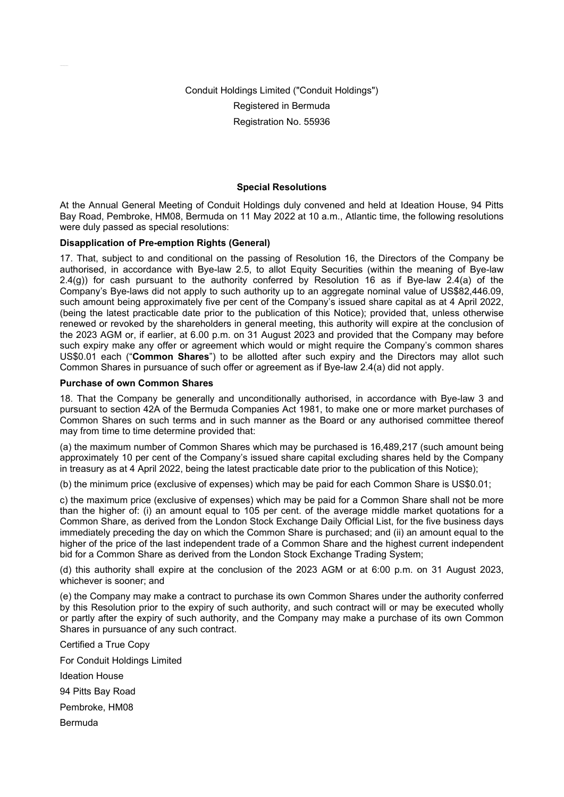Conduit Holdings Limited ("Conduit Holdings") Registered in Bermuda Registration No. 55936

## **Special Resolutions**

At the Annual General Meeting of Conduit Holdings duly convened and held at Ideation House, 94 Pitts Bay Road, Pembroke, HM08, Bermuda on 11 May 2022 at 10 a.m., Atlantic time, the following resolutions were duly passed as special resolutions:

## **Disapplication of Pre-emption Rights (General)**

17. That, subject to and conditional on the passing of Resolution 16, the Directors of the Company be authorised, in accordance with Bye-law 2.5, to allot Equity Securities (within the meaning of Bye-law 2.4(g)) for cash pursuant to the authority conferred by Resolution 16 as if Bye-law 2.4(a) of the Company's Bye-laws did not apply to such authority up to an aggregate nominal value of US\$82,446.09, such amount being approximately five per cent of the Company's issued share capital as at 4 April 2022, (being the latest practicable date prior to the publication of this Notice); provided that, unless otherwise renewed or revoked by the shareholders in general meeting, this authority will expire at the conclusion of the 2023 AGM or, if earlier, at 6.00 p.m. on 31 August 2023 and provided that the Company may before such expiry make any offer or agreement which would or might require the Company's common shares US\$0.01 each ("**Common Shares**") to be allotted after such expiry and the Directors may allot such Common Shares in pursuance of such offer or agreement as if Bye-law 2.4(a) did not apply.

## **Purchase of own Common Shares**

18. That the Company be generally and unconditionally authorised, in accordance with Bye-law 3 and pursuant to section 42A of the Bermuda Companies Act 1981, to make one or more market purchases of Common Shares on such terms and in such manner as the Board or any authorised committee thereof may from time to time determine provided that:

(a) the maximum number of Common Shares which may be purchased is 16,489,217 (such amount being approximately 10 per cent of the Company's issued share capital excluding shares held by the Company in treasury as at 4 April 2022, being the latest practicable date prior to the publication of this Notice);

(b) the minimum price (exclusive of expenses) which may be paid for each Common Share is US\$0.01;

c) the maximum price (exclusive of expenses) which may be paid for a Common Share shall not be more than the higher of: (i) an amount equal to 105 per cent. of the average middle market quotations for a Common Share, as derived from the London Stock Exchange Daily Official List, for the five business days immediately preceding the day on which the Common Share is purchased; and (ii) an amount equal to the higher of the price of the last independent trade of a Common Share and the highest current independent bid for a Common Share as derived from the London Stock Exchange Trading System;

(d) this authority shall expire at the conclusion of the 2023 AGM or at 6:00 p.m. on 31 August 2023, whichever is sooner; and

(e) the Company may make a contract to purchase its own Common Shares under the authority conferred by this Resolution prior to the expiry of such authority, and such contract will or may be executed wholly or partly after the expiry of such authority, and the Company may make a purchase of its own Common Shares in pursuance of any such contract.

Certified a True Copy For Conduit Holdings Limited Ideation House 94 Pitts Bay Road Pembroke, HM08 Bermuda